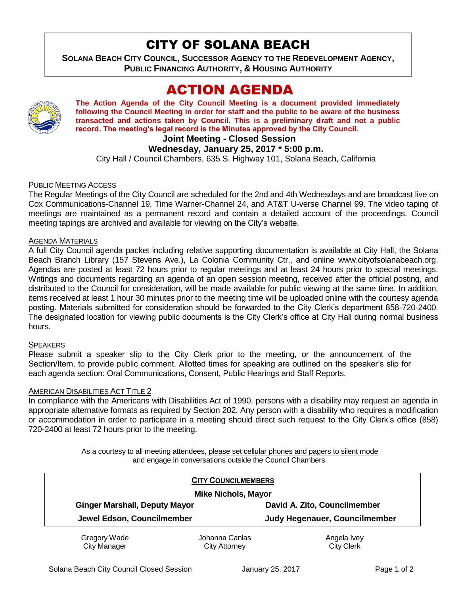# CITY OF SOLANA BEACH

**SOLANA BEACH CITY COUNCIL, SUCCESSOR AGENCY TO THE REDEVELOPMENT AGENCY, PUBLIC FINANCING AUTHORITY, & HOUSING AUTHORITY** 

# ACTION AGENDA



**The Action Agenda of the City Council Meeting is a document provided immediately following the Council Meeting in order for staff and the public to be aware of the business transacted and actions taken by Council. This is a preliminary draft and not a public record. The meeting's legal record is the Minutes approved by the City Council.**

## **Joint Meeting - Closed Session**

## **Wednesday, January 25, 2017 \* 5:00 p.m.**

City Hall / Council Chambers, 635 S. Highway 101, Solana Beach, California

## PUBLIC MEETING ACCESS

The Regular Meetings of the City Council are scheduled for the 2nd and 4th Wednesdays and are broadcast live on Cox Communications-Channel 19, Time Warner-Channel 24, and AT&T U-verse Channel 99. The video taping of meetings are maintained as a permanent record and contain a detailed account of the proceedings. Council meeting tapings are archived and available for viewing on the City's website.

#### AGENDA MATERIALS

A full City Council agenda packet including relative supporting documentation is available at City Hall, the Solana Beach Branch Library (157 Stevens Ave.), La Colonia Community Ctr., and online www.cityofsolanabeach.org. Agendas are posted at least 72 hours prior to regular meetings and at least 24 hours prior to special meetings. Writings and documents regarding an agenda of an open session meeting, received after the official posting, and distributed to the Council for consideration, will be made available for public viewing at the same time. In addition, items received at least 1 hour 30 minutes prior to the meeting time will be uploaded online with the courtesy agenda posting. Materials submitted for consideration should be forwarded to the City Clerk's department 858-720-2400. The designated location for viewing public documents is the City Clerk's office at City Hall during normal business hours.

#### **SPEAKERS**

Please submit a speaker slip to the City Clerk prior to the meeting, or the announcement of the Section/Item, to provide public comment. Allotted times for speaking are outlined on the speaker's slip for each agenda section: Oral Communications, Consent, Public Hearings and Staff Reports.

## AMERICAN DISABILITIES ACT TITLE 2

In compliance with the Americans with Disabilities Act of 1990, persons with a disability may request an agenda in appropriate alternative formats as required by Section 202. Any person with a disability who requires a modification or accommodation in order to participate in a meeting should direct such request to the City Clerk's office (858) 720-2400 at least 72 hours prior to the meeting.

> As a courtesy to all meeting attendees, please set cellular phones and pagers to silent mode and engage in conversations outside the Council Chambers.

|                                      | <b>CITY COUNCILMEMBERS</b> |                               |
|--------------------------------------|----------------------------|-------------------------------|
| <b>Mike Nichols, Mayor</b>           |                            |                               |
| <b>Ginger Marshall, Deputy Mayor</b> |                            | David A. Zito, Councilmember  |
| Jewel Edson, Councilmember           |                            | Judy Hegenauer, Councilmember |
| Gregory Wade                         | Johanna Canlas             | Angela Ivey                   |
| <b>City Manager</b>                  | <b>City Attorney</b>       | <b>City Clerk</b>             |